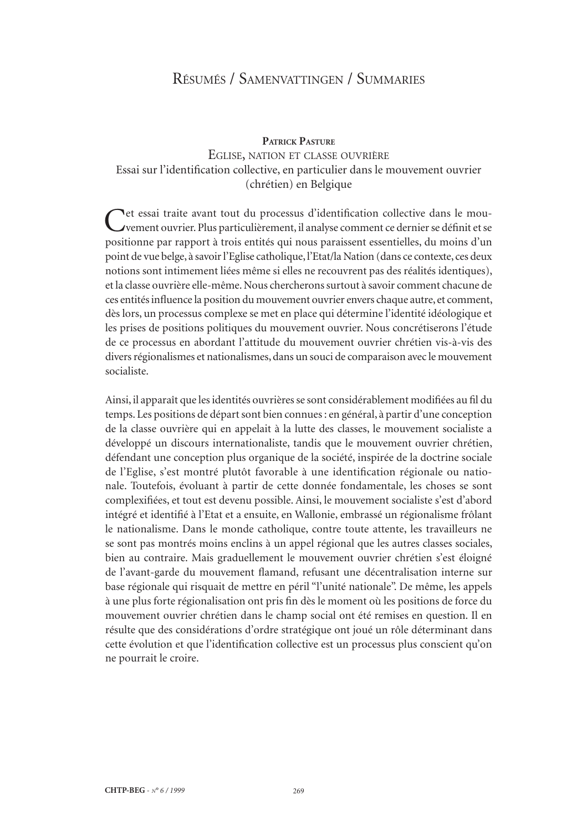# Résumés / Samenvattingen / Summaries

#### **Patrick Pasture**

# Eglise, nation et classe ouvrière Essai sur l'identification collective, en particulier dans le mouvement ouvrier (chrétien) en Belgique

Cet essai traite avant tout du processus d'identification collective dans le mouvement ouvrier. Plus particulièrement, il analyse comment ce dernier se définit et se positionne par rapport à trois entités qui nous paraissent essentielles, du moins d'un point de vue belge, à savoir l'Eglise catholique, l'Etat/la Nation (dans ce contexte, ces deux notions sont intimement liées même si elles ne recouvrent pas des réalités identiques), et la classe ouvrière elle-même. Nous chercherons surtout à savoir comment chacune de ces entités influence la position du mouvement ouvrier envers chaque autre, et comment, dès lors, un processus complexe se met en place qui détermine l'identité idéologique et les prises de positions politiques du mouvement ouvrier. Nous concrétiserons l'étude de ce processus en abordant l'attitude du mouvement ouvrier chrétien vis-à-vis des divers régionalismes et nationalismes, dans un souci de comparaison avec le mouvement socialiste.

Ainsi, il apparaît que les identités ouvrières se sont considérablement modifiées au fil du temps. Les positions de départ sont bien connues: en général, à partir d'une conception de la classe ouvrière qui en appelait à la lutte des classes, le mouvement socialiste a développé un discours internationaliste, tandis que le mouvement ouvrier chrétien, défendant une conception plus organique de la société, inspirée de la doctrine sociale de l'Eglise, s'est montré plutôt favorable à une identification régionale ou natio‑ nale. Toutefois, évoluant à partir de cette donnée fondamentale, les choses se sont complexifiées, et tout est devenu possible. Ainsi, le mouvement socialiste s'est d'abord intégré et identifié à l'Etat et a ensuite, en Wallonie, embrassé un régionalisme frôlant le nationalisme. Dans le monde catholique, contre toute attente, les travailleurs ne se sont pas montrés moins enclins à un appel régional que les autres classes sociales, bien au contraire. Mais graduellement le mouvement ouvrier chrétien s'est éloigné de l'avant-garde du mouvement flamand, refusant une décentralisation interne sur base régionale qui risquait de mettre en péril "l'unité nationale". De même, les appels à une plus forte régionalisation ont pris fin dès le moment où les positions de force du mouvement ouvrier chrétien dans le champ social ont été remises en question. Il en résulte que des considérations d'ordre stratégique ont joué un rôle déterminant dans cette évolution et que l'identification collective est un processus plus conscient qu'on ne pourrait le croire.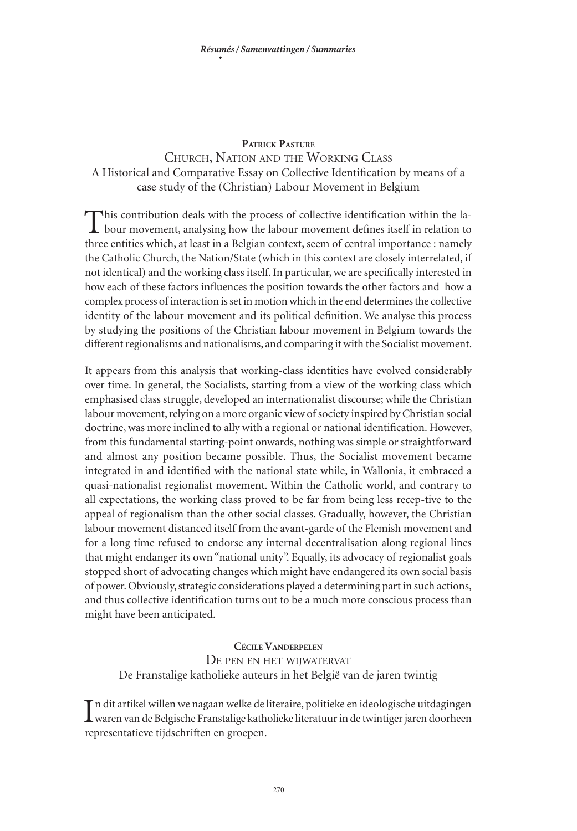### **Patrick Pasture**

# Church, Nation and the Working Class A Historical and Comparative Essay on Collective Identification by means of a case study of the (Christian) Labour Movement in Belgium

This contribution deals with the process of collective identification within the labour movement, analysing how the labour movement defines itself in relation to three entities which, at least in a Belgian context, seem of central importance : namely the Catholic Church, the Nation/State (which in this context are closely interrelated, if not identical) and the working class itself. In particular, we are specifically interested in how each of these factors influences the position towards the other factors and how a complex process of interaction is set in motion which in the end determines the collective identity of the labour movement and its political definition. We analyse this process by studying the positions of the Christian labour movement in Belgium towards the different regionalisms and nationalisms, and comparing it with the Socialist movement.

It appears from this analysis that working-class identities have evolved considerably over time. In general, the Socialists, starting from a view of the working class which emphasised class struggle, developed an internationalist discourse; while the Christian labour movement, relying on a more organic view of society inspired by Christian social doctrine, was more inclined to ally with a regional or national identification. However, from this fundamental starting-point onwards, nothing was simple or straightforward and almost any position became possible. Thus, the Socialist movement became integrated in and identified with the national state while, in Wallonia, it embraced a quasi-nationalist regionalist movement. Within the Catholic world, and contrary to all expectations, the working class proved to be far from being less recep-tive to the appeal of regionalism than the other social classes. Gradually, however, the Christian labour movement distanced itself from the avant-garde of the Flemish movement and for a long time refused to endorse any internal decentralisation along regional lines that might endanger its own "national unity". Equally, its advocacy of regionalist goals stopped short of advocating changes which might have endangered its own social basis of power. Obviously, strategic considerations played a determining part in such actions, and thus collective identification turns out to be a much more conscious process than might have been anticipated.

**Cécile Vanderpelen** De pen en het wijwatervat De Franstalige katholieke auteurs in het België van de jaren twintig

In dit artikel willen we nagaan welke de literaire, politieke en ideologische uitdagingen<br>Waren van de Belgische Franstalige katholieke literatuur in de twintiger jaren doorheen n dit artikel willen we nagaan welke de literaire, politieke en ideologische uitdagingen representatieve tijdschriften en groepen.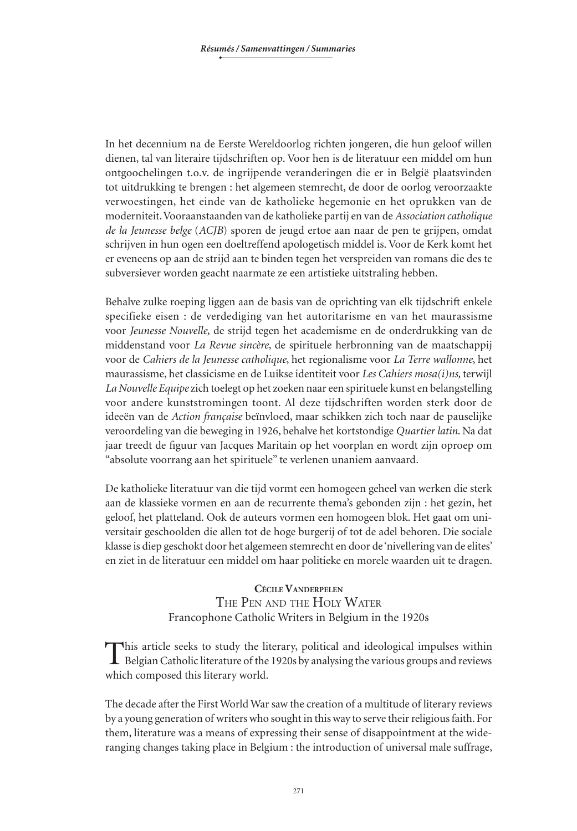In het decennium na de Eerste Wereldoorlog richten jongeren, die hun geloof willen dienen, tal van literaire tijdschriften op. Voor hen is de literatuur een middel om hun ontgoochelingen t.o.v. de ingrijpende veranderingen die er in België plaatsvinden tot uitdrukking te brengen : het algemeen stemrecht, de door de oorlog veroorzaakte verwoestingen, het einde van de katholieke hegemonie en het oprukken van de moderniteit. Vooraanstaanden van de katholieke partij en van de *Association catholique de la Jeunesse belge* (*ACJB*) sporen de jeugd ertoe aan naar de pen te grijpen, omdat schrijven in hun ogen een doeltreffend apologetisch middel is. Voor de Kerk komt het er eveneens op aan de strijd aan te binden tegen het verspreiden van romans die des te subversiever worden geacht naarmate ze een artistieke uitstraling hebben.

Behalve zulke roeping liggen aan de basis van de oprichting van elk tijdschrift enkele specifieke eisen : de verdediging van het autoritarisme en van het maurassisme voor *Jeunesse Nouvelle,* de strijd tegen het academisme en de onderdrukking van de middenstand voor *La Revue sincère*, de spirituele herbronning van de maatschappij voor de *Cahiers de la Jeunesse catholique*, het regionalisme voor *La Terre wallonne*, het maurassisme, het classicisme en de Luikse identiteit voor *Les Cahiers mosa(i)ns,* terwijl *La Nouvelle Equipe* zich toelegt op het zoeken naar een spirituele kunst en belangstelling voor andere kunststromingen toont. Al deze tijdschriften worden sterk door de ideeën van de *Action française* beïnvloed, maar schikken zich toch naar de pauselijke veroordeling van die beweging in 1926, behalve het kortstondige *Quartier latin*. Na dat jaar treedt de figuur van Jacques Maritain op het voorplan en wordt zijn oproep om "absolute voorrang aan het spirituele" te verlenen unaniem aanvaard.

De katholieke literatuur van die tijd vormt een homogeen geheel van werken die sterk aan de klassieke vormen en aan de recurrente thema's gebonden zijn : het gezin, het geloof, het platteland. Ook de auteurs vormen een homogeen blok. Het gaat om universitair geschoolden die allen tot de hoge burgerij of tot de adel behoren. Die sociale klasse is diep geschokt door het algemeen stemrecht en door de 'nivellering van de elites' en ziet in de literatuur een middel om haar politieke en morele waarden uit te dragen.

# **Cécile Vanderpelen** THE PEN AND THE HOLY WATER Francophone Catholic Writers in Belgium in the 1920s

This article seeks to study the literary, political and ideological impulses within Belgian Catholic literature of the 1920s by analysing the various groups and reviews which composed this literary world.

The decade after the First World War saw the creation of a multitude of literary reviews by a young generation of writers who sought in this way to serve their religious faith. For them, literature was a means of expressing their sense of disappointment at the wideranging changes taking place in Belgium : the introduction of universal male suffrage,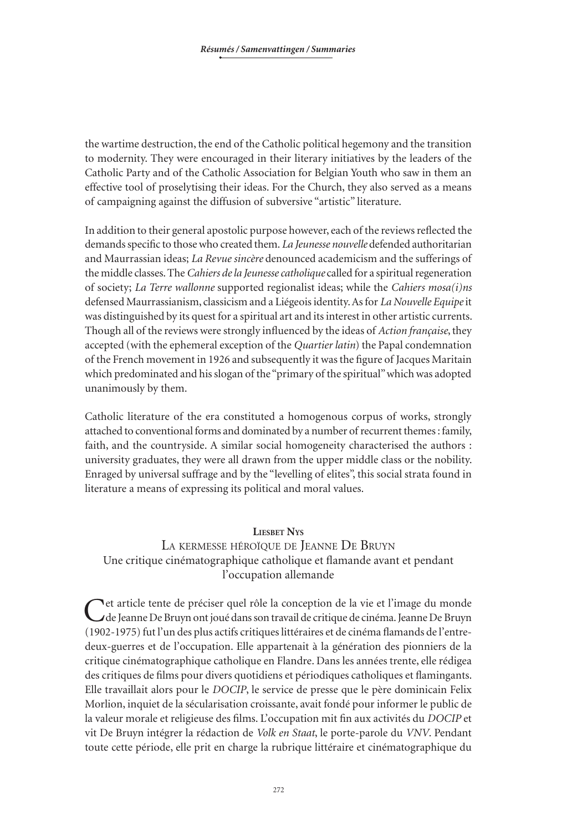the wartime destruction, the end of the Catholic political hegemony and the transition to modernity. They were encouraged in their literary initiatives by the leaders of the Catholic Party and of the Catholic Association for Belgian Youth who saw in them an effective tool of proselytising their ideas. For the Church, they also served as a means of campaigning against the diffusion of subversive "artistic" literature.

In addition to their general apostolic purpose however, each of the reviews reflected the demands specific to those who created them. *La Jeunesse nouvelle* defended authoritarian and Maurrassian ideas; *La Revue sincère* denounced academicism and the sufferings of the middle classes. The *Cahiers de la Jeunesse catholique* called for a spiritual regeneration of society; *La Terre wallonne* supported regionalist ideas; while the *Cahiers mosa(i)ns* defensed Maurrassianism, classicism and a Liégeois identity. As for *La Nouvelle Equipe* it was distinguished by its quest for a spiritual art and its interest in other artistic currents. Though all of the reviews were strongly influenced by the ideas of *Action française*, they accepted (with the ephemeral exception of the *Quartier latin*) the Papal condemnation of the French movement in 1926 and subsequently it was the figure of Jacques Maritain which predominated and his slogan of the "primary of the spiritual" which was adopted unanimously by them.

Catholic literature of the era constituted a homogenous corpus of works, strongly attached to conventional forms and dominated by a number of recurrent themes: family, faith, and the countryside. A similar social homogeneity characterised the authors : university graduates, they were all drawn from the upper middle class or the nobility. Enraged by universal suffrage and by the "levelling of elites", this social strata found in literature a means of expressing its political and moral values.

#### **Liesbet Nys**

# La kermesse héroïque de Jeanne De Bruyn Une critique cinématographique catholique et flamande avant et pendant l'occupation allemande

Cet article tente de préciser quel rôle la conception de la vie et l'image du monde<br>Le Jeanne De Bruyn ont joué dans son travail de critique de cinéma. Jeanne De Bruyn (1902-1975) fut l'un des plus actifs critiques littéraires et de cinéma flamands de l'entredeux-guerres et de l'occupation. Elle appartenait à la génération des pionniers de la critique cinématographique catholique en Flandre. Dans les années trente, elle rédigea des critiques de films pour divers quotidiens et périodiques catholiques et flamingants. Elle travaillait alors pour le *DOCIP*, le service de presse que le père dominicain Felix Morlion, inquiet de la sécularisation croissante, avait fondé pour informer le public de la valeur morale et religieuse des films. L'occupation mit fin aux activités du *DOCIP* et vit De Bruyn intégrer la rédaction de *Volk en Staat*, le porte-parole du *VNV*. Pendant toute cette période, elle prit en charge la rubrique littéraire et cinématographique du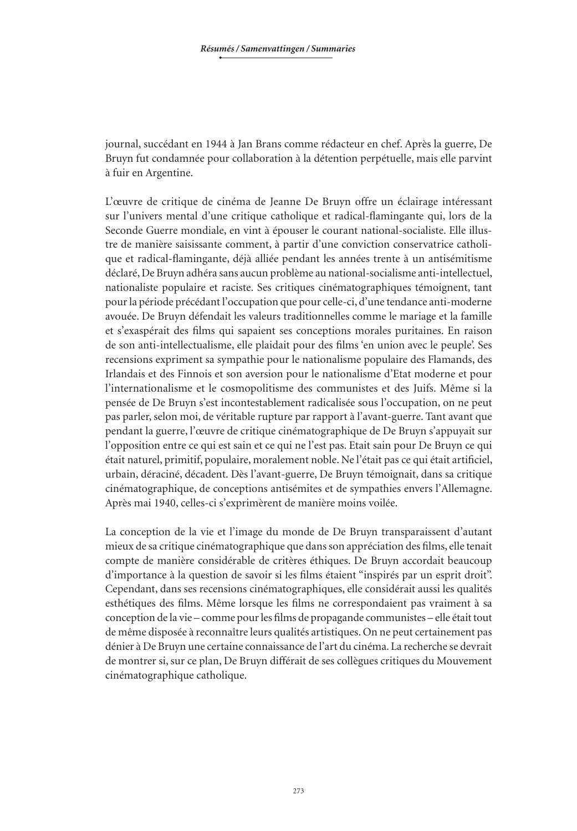journal, succédant en 1944 à Jan Brans comme rédacteur en chef. Après la guerre, De Bruyn fut condamnée pour collaboration à la détention perpétuelle, mais elle parvint à fuir en Argentine.

L'œuvre de critique de cinéma de Jeanne De Bruyn offre un éclairage intéressant sur l'univers mental d'une critique catholique et radical-flamingante qui, lors de la Seconde Guerre mondiale, en vint à épouser le courant national-socialiste. Elle illustre de manière saisissante comment, à partir d'une conviction conservatrice catholi‑ que et radical-flamingante, déjà alliée pendant les années trente à un antisémitisme déclaré, De Bruyn adhéra sans aucun problème au national-socialisme anti-intellectuel, nationaliste populaire et raciste. Ses critiques cinématographiques témoignent, tant pour la période précédant l'occupation que pour celle-ci, d'une tendance anti-moderne avouée. De Bruyn défendait les valeurs traditionnelles comme le mariage et la famille et s'exaspérait des films qui sapaient ses conceptions morales puritaines. En raison de son anti-intellectualisme, elle plaidait pour des films 'en union avec le peuple'. Ses recensions expriment sa sympathie pour le nationalisme populaire des Flamands, des Irlandais et des Finnois et son aversion pour le nationalisme d'Etat moderne et pour l'internationalisme et le cosmopolitisme des communistes et des Juifs. Même si la pensée de De Bruyn s'est incontestablement radicalisée sous l'occupation, on ne peut pas parler, selon moi, de véritable rupture par rapport à l'avant-guerre. Tant avant que pendant la guerre, l'œuvre de critique cinématographique de De Bruyn s'appuyait sur l'opposition entre ce qui est sain et ce qui ne l'est pas. Etait sain pour De Bruyn ce qui était naturel, primitif, populaire, moralement noble. Ne l'était pas ce qui était artificiel, urbain, déraciné, décadent. Dès l'avant‑guerre, De Bruyn témoignait, dans sa critique cinématographique, de conceptions antisémites et de sympathies envers l'Allemagne. Après mai 1940, celles-ci s'exprimèrent de manière moins voilée.

La conception de la vie et l'image du monde de De Bruyn transparaissent d'autant mieux de sa critique cinématographique que dans son appréciation des films, elle tenait compte de manière considérable de critères éthiques. De Bruyn accordait beaucoup d'importance à la question de savoir si les films étaient "inspirés par un esprit droit". Cependant, dans ses recensions cinématographiques, elle considérait aussi les qualités esthétiques des films. Même lorsque les films ne correspondaient pas vraiment à sa conception de la vie – comme pour les films de propagande communistes – elle était tout de même disposée à reconnaître leurs qualités artistiques. On ne peut certainement pas dénier à De Bruyn une certaine connaissance de l'art du cinéma. La recherche se devrait de montrer si, sur ce plan, De Bruyn différait de ses collègues critiques du Mouvement cinématographique catholique.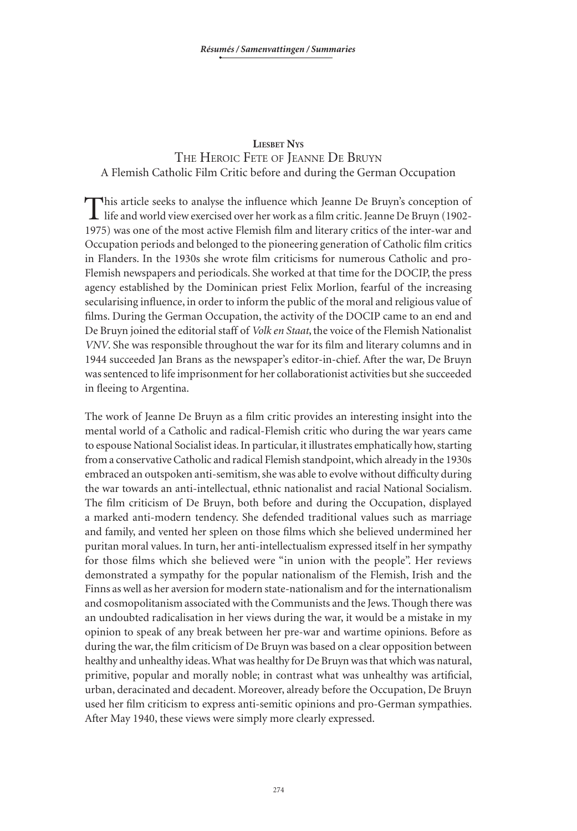#### **Liesbet Nys**

# The Heroic Fete of Jeanne De Bruyn A Flemish Catholic Film Critic before and during the German Occupation

This article seeks to analyse the influence which Jeanne De Bruyn's conception of life and world view exercised over her work as a film critic. Jeanne De Bruyn (1902-1975) was one of the most active Flemish film and literary critics of the inter-war and Occupation periods and belonged to the pioneering generation of Catholic film critics in Flanders. In the 1930s she wrote film criticisms for numerous Catholic and pro-Flemish newspapers and periodicals. She worked at that time for the DOCIP, the press agency established by the Dominican priest Felix Morlion, fearful of the increasing secularising influence, in order to inform the public of the moral and religious value of films. During the German Occupation, the activity of the DOCIP came to an end and De Bruyn joined the editorial staff of *Volk en Staat*, the voice of the Flemish Nationalist *VNV*. She was responsible throughout the war for its film and literary columns and in 1944 succeeded Jan Brans as the newspaper's editor-in-chief. After the war, De Bruyn was sentenced to life imprisonment for her collaborationist activities but she succeeded in fleeing to Argentina.

The work of Jeanne De Bruyn as a film critic provides an interesting insight into the mental world of a Catholic and radical-Flemish critic who during the war years came to espouse National Socialist ideas. In particular, it illustrates emphatically how, starting from a conservative Catholic and radical Flemish standpoint, which already in the 1930s embraced an outspoken anti-semitism, she was able to evolve without difficulty during the war towards an anti-intellectual, ethnic nationalist and racial National Socialism. The film criticism of De Bruyn, both before and during the Occupation, displayed a marked anti-modern tendency. She defended traditional values such as marriage and family, and vented her spleen on those films which she believed undermined her puritan moral values. In turn, her anti-intellectualism expressed itself in her sympathy for those films which she believed were "in union with the people". Her reviews demonstrated a sympathy for the popular nationalism of the Flemish, Irish and the Finns as well as her aversion for modern state-nationalism and for the internationalism and cosmopolitanism associated with the Communists and the Jews. Though there was an undoubted radicalisation in her views during the war, it would be a mistake in my opinion to speak of any break between her pre-war and wartime opinions. Before as during the war, the film criticism of De Bruyn was based on a clear opposition between healthy and unhealthy ideas. What was healthy for De Bruyn was that which was natural, primitive, popular and morally noble; in contrast what was unhealthy was artificial, urban, deracinated and decadent. Moreover, already before the Occupation, De Bruyn used her film criticism to express anti-semitic opinions and pro-German sympathies. After May 1940, these views were simply more clearly expressed.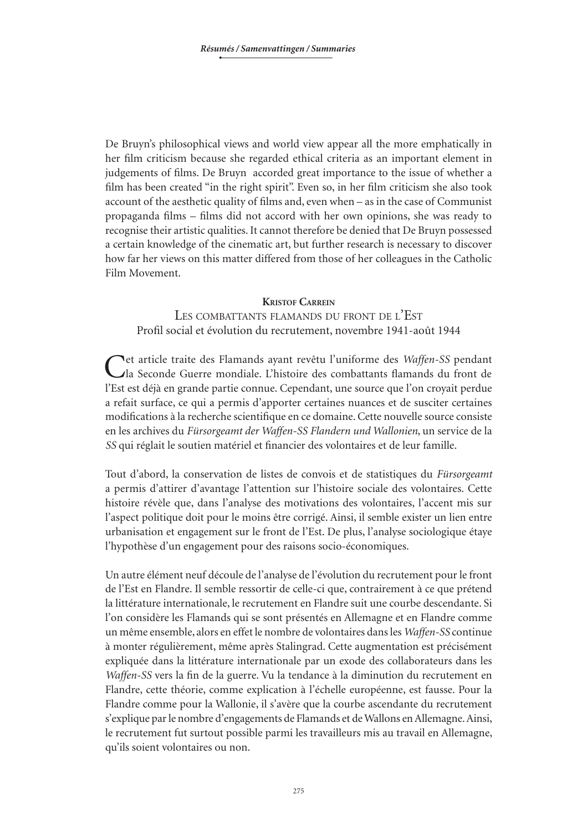De Bruyn's philosophical views and world view appear all the more emphatically in her film criticism because she regarded ethical criteria as an important element in judgements of films. De Bruyn accorded great importance to the issue of whether a film has been created "in the right spirit". Even so, in her film criticism she also took account of the aesthetic quality of films and, even when – as in the case of Communist propaganda films – films did not accord with her own opinions, she was ready to recognise their artistic qualities. It cannot therefore be denied that De Bruyn possessed a certain knowledge of the cinematic art, but further research is necessary to discover how far her views on this matter differed from those of her colleagues in the Catholic Film Movement.

#### **Kristof Carrein**

LES COMBATTANTS FLAMANDS DU FRONT DE L'EST Profil social et évolution du recrutement, novembre 1941-août 1944

Cet article traite des Flamands ayant revêtu l'uniforme des *Waffen-SS* pendant (als Seconde Guerre mondiale. L'histoire des combattants flamands du front de l'Est est déjà en grande partie connue. Cependant, une source que l'on croyait perdue a refait surface, ce qui a permis d'apporter certaines nuances et de susciter certaines modifications à la recherche scientifique en ce domaine. Cette nouvelle source consiste en les archives du *Fürsorgeamt der Waffen-SS Flandern und Wallonien*, un service de la *SS* qui réglait le soutien matériel et financier des volontaires et de leur famille.

Tout d'abord, la conservation de listes de convois et de statistiques du *Fürsorgeamt* a permis d'attirer d'avantage l'attention sur l'histoire sociale des volontaires. Cette histoire révèle que, dans l'analyse des motivations des volontaires, l'accent mis sur l'aspect politique doit pour le moins être corrigé. Ainsi, il semble exister un lien entre urbanisation et engagement sur le front de l'Est. De plus, l'analyse sociologique étaye l'hypothèse d'un engagement pour des raisons socio-économiques.

Un autre élément neuf découle de l'analyse de l'évolution du recrutement pour le front de l'Est en Flandre. Il semble ressortir de celle-ci que, contrairement à ce que prétend la littérature internationale, le recrutement en Flandre suit une courbe descendante. Si l'on considère les Flamands qui se sont présentés en Allemagne et en Flandre comme un même ensemble, alors en effet le nombre de volontaires dans les *Waffen-SS* continue à monter régulièrement, même après Stalingrad. Cette augmentation est précisément expliquée dans la littérature internationale par un exode des collaborateurs dans les *Waffen-SS* vers la fin de la guerre. Vu la tendance à la diminution du recrutement en Flandre, cette théorie, comme explication à l'échelle européenne, est fausse. Pour la Flandre comme pour la Wallonie, il s'avère que la courbe ascendante du recrutement s'explique par le nombre d'engagements de Flamands et de Wallons en Allemagne. Ainsi, le recrutement fut surtout possible parmi les travailleurs mis au travail en Allemagne, qu'ils soient volontaires ou non.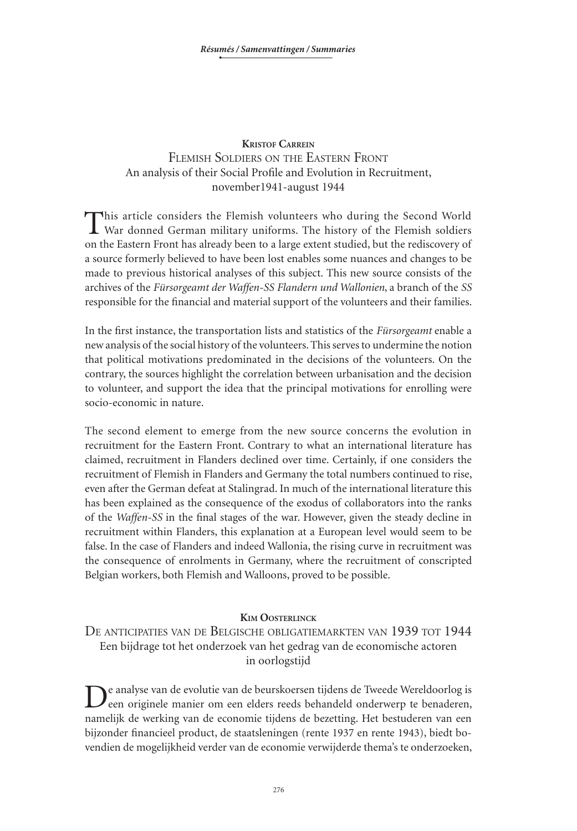### **Kristof Carrein** Flemish Soldiers on the Eastern Front An analysis of their Social Profile and Evolution in Recruitment, november1941‑august 1944

This article considers the Flemish volunteers who during the Second World War donned German military uniforms. The history of the Flemish soldiers on the Eastern Front has already been to a large extent studied, but the rediscovery of a source formerly believed to have been lost enables some nuances and changes to be made to previous historical analyses of this subject. This new source consists of the archives of the *Fürsorgeamt der Waffen-SS Flandern und Wallonien*, a branch of the *SS* responsible for the financial and material support of the volunteers and their families.

In the first instance, the transportation lists and statistics of the *Fürsorgeamt* enable a new analysis of the social history of the volunteers. This serves to undermine the notion that political motivations predominated in the decisions of the volunteers. On the contrary, the sources highlight the correlation between urbanisation and the decision to volunteer, and support the idea that the principal motivations for enrolling were socio-economic in nature.

The second element to emerge from the new source concerns the evolution in recruitment for the Eastern Front. Contrary to what an international literature has claimed, recruitment in Flanders declined over time. Certainly, if one considers the recruitment of Flemish in Flanders and Germany the total numbers continued to rise, even after the German defeat at Stalingrad. In much of the international literature this has been explained as the consequence of the exodus of collaborators into the ranks of the *Waffen-SS* in the final stages of the war. However, given the steady decline in recruitment within Flanders, this explanation at a European level would seem to be false. In the case of Flanders and indeed Wallonia, the rising curve in recruitment was the consequence of enrolments in Germany, where the recruitment of conscripted Belgian workers, both Flemish and Walloons, proved to be possible.

#### **Kim Oosterlinck**

De anticipaties van de Belgische obligatiemarkten van 1939 tot 1944 Een bijdrage tot het onderzoek van het gedrag van de economische actoren in oorlogstijd

De analyse van de evolutie van de beurskoersen tijdens de Tweede Wereldoorlog is een originele manier om een elders reeds behandeld onderwerp te benaderen, namelijk de werking van de economie tijdens de bezetting. Het bestuderen van een bijzonder financieel product, de staatsleningen (rente 1937 en rente 1943), biedt bovendien de mogelijkheid verder van de economie verwijderde thema's te onderzoeken,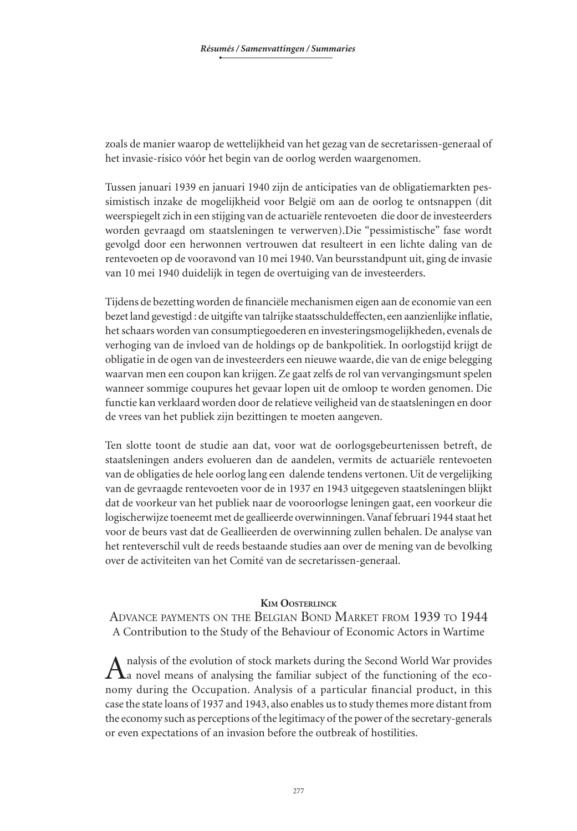zoals de manier waarop de wettelijkheid van het gezag van de secretarissen-generaal of het invasie-risico vóór het begin van de oorlog werden waargenomen.

Tussen januari 1939 en januari 1940 zijn de anticipaties van de obligatiemarkten pes‑ simistisch inzake de mogelijkheid voor België om aan de oorlog te ontsnappen (dit weerspiegelt zich in een stijging van de actuariële rentevoeten die door de investeerders worden gevraagd om staatsleningen te verwerven).Die "pessimistische" fase wordt gevolgd door een herwonnen vertrouwen dat resulteert in een lichte daling van de rentevoeten op de vooravond van 10 mei 1940. Van beursstandpunt uit, ging de invasie van 10 mei 1940 duidelijk in tegen de overtuiging van de investeerders.

Tijdens de bezetting worden de financiële mechanismen eigen aan de economie van een bezet land gevestigd : de uitgifte van talrijke staatsschuldeffecten, een aanzienlijke inflatie, het schaars worden van consumptiegoederen en investeringsmogelijkheden, evenals de verhoging van de invloed van de holdings op de bankpolitiek. In oorlogstijd krijgt de obligatie in de ogen van de investeerders een nieuwe waarde, die van de enige belegging waarvan men een coupon kan krijgen. Ze gaat zelfs de rol van vervangingsmunt spelen wanneer sommige coupures het gevaar lopen uit de omloop te worden genomen. Die functie kan verklaard worden door de relatieve veiligheid van de staatsleningen en door de vrees van het publiek zijn bezittingen te moeten aangeven.

Ten slotte toont de studie aan dat, voor wat de oorlogsgebeurtenissen betreft, de staatsleningen anders evolueren dan de aandelen, vermits de actuariële rentevoeten van de obligaties de hele oorlog lang een dalende tendens vertonen. Uit de vergelijking van de gevraagde rentevoeten voor de in 1937 en 1943 uitgegeven staatsleningen blijkt dat de voorkeur van het publiek naar de vooroorlogse leningen gaat, een voorkeur die logischerwijze toeneemt met de geallieerde overwinningen. Vanaf februari 1944 staat het voor de beurs vast dat de Geallieerden de overwinning zullen behalen. De analyse van het renteverschil vult de reeds bestaande studies aan over de mening van de bevolking over de activiteiten van het Comité van de secretarissen-generaal.

#### **Kim Oosterlinck**

Advance payments on the Belgian Bond Market from 1939 to 1944 A Contribution to the Study of the Behaviour of Economic Actors in Wartime

nalysis of the evolution of stock markets during the Second World War provides  $\mathbf \Lambda$ a novel means of analysing the familiar subject of the functioning of the economy during the Occupation. Analysis of a particular financial product, in this case the state loans of 1937 and 1943, also enables us to study themes more distant from the economy such as perceptions of the legitimacy of the power of the secretary-generals or even expectations of an invasion before the outbreak of hostilities.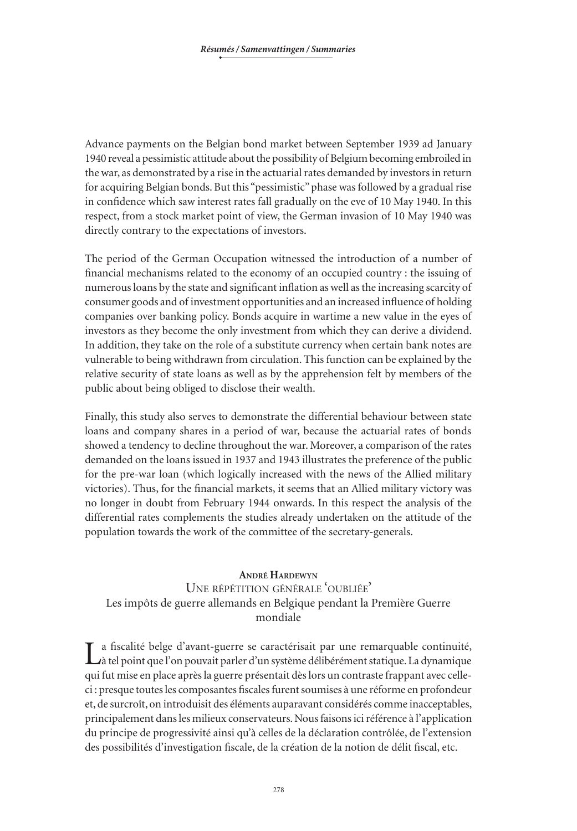Advance payments on the Belgian bond market between September 1939 ad January 1940 reveal a pessimistic attitude about the possibility of Belgium becoming embroiled in the war, as demonstrated by a rise in the actuarial rates demanded by investors in return for acquiring Belgian bonds. But this "pessimistic" phase was followed by a gradual rise in confidence which saw interest rates fall gradually on the eve of 10 May 1940. In this respect, from a stock market point of view, the German invasion of 10 May 1940 was directly contrary to the expectations of investors.

The period of the German Occupation witnessed the introduction of a number of financial mechanisms related to the economy of an occupied country : the issuing of numerous loans by the state and significant inflation as well as the increasing scarcity of consumer goods and of investment opportunities and an increased influence of holding companies over banking policy. Bonds acquire in wartime a new value in the eyes of investors as they become the only investment from which they can derive a dividend. In addition, they take on the role of a substitute currency when certain bank notes are vulnerable to being withdrawn from circulation. This function can be explained by the relative security of state loans as well as by the apprehension felt by members of the public about being obliged to disclose their wealth.

Finally, this study also serves to demonstrate the differential behaviour between state loans and company shares in a period of war, because the actuarial rates of bonds showed a tendency to decline throughout the war. Moreover, a comparison of the rates demanded on the loans issued in 1937 and 1943 illustrates the preference of the public for the pre-war loan (which logically increased with the news of the Allied military victories). Thus, for the financial markets, it seems that an Allied military victory was no longer in doubt from February 1944 onwards. In this respect the analysis of the differential rates complements the studies already undertaken on the attitude of the population towards the work of the committee of the secretary-generals.

### **André Hardewyn**

# Une répétition générale 'oubliée' Les impôts de guerre allemands en Belgique pendant la Première Guerre mondiale

La fiscalité belge d'avant-guerre se caractérisait par une remarquable continuité, à tel point que l'on pouvait parler d'un système délibérément statique. La dynamique qui fut mise en place après la guerre présentait dès lors un contraste frappant avec celleci : presque toutes les composantes fiscales furent soumises à une réforme en profondeur et, de surcroît, on introduisit des éléments auparavant considérés comme inacceptables, principalement dans les milieux conservateurs. Nous faisons ici référence à l'application du principe de progressivité ainsi qu'à celles de la déclaration contrôlée, de l'extension des possibilités d'investigation fiscale, de la création de la notion de délit fiscal, etc.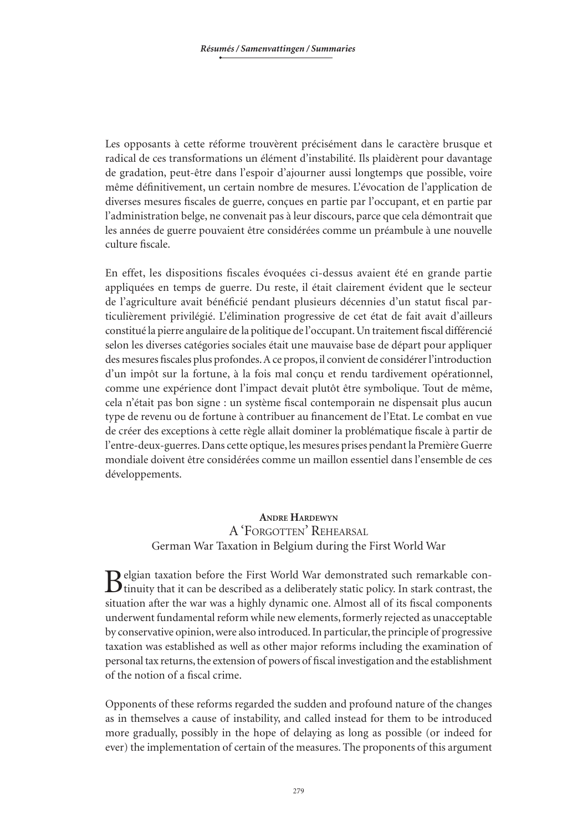Les opposants à cette réforme trouvèrent précisément dans le caractère brusque et radical de ces transformations un élément d'instabilité. Ils plaidèrent pour davantage de gradation, peut-être dans l'espoir d'ajourner aussi longtemps que possible, voire même définitivement, un certain nombre de mesures. L'évocation de l'application de diverses mesures fiscales de guerre, conçues en partie par l'occupant, et en partie par l'administration belge, ne convenait pas à leur discours, parce que cela démontrait que les années de guerre pouvaient être considérées comme un préambule à une nouvelle culture fiscale.

En effet, les dispositions fiscales évoquées ci-dessus avaient été en grande partie appliquées en temps de guerre. Du reste, il était clairement évident que le secteur de l'agriculture avait bénéficié pendant plusieurs décennies d'un statut fiscal particulièrement privilégié. L'élimination progressive de cet état de fait avait d'ailleurs constitué la pierre angulaire de la politique de l'occupant. Un traitement fiscal différencié selon les diverses catégories sociales était une mauvaise base de départ pour appliquer des mesures fiscales plus profondes. A ce propos, il convient de considérer l'introduction d'un impôt sur la fortune, à la fois mal conçu et rendu tardivement opérationnel, comme une expérience dont l'impact devait plutôt être symbolique. Tout de même, cela n'était pas bon signe : un système fiscal contemporain ne dispensait plus aucun type de revenu ou de fortune à contribuer au financement de l'Etat. Le combat en vue de créer des exceptions à cette règle allait dominer la problématique fiscale à partir de l'entre-deux-guerres. Dans cette optique, les mesures prises pendant la Première Guerre mondiale doivent être considérées comme un maillon essentiel dans l'ensemble de ces développements.

### **Andre Hardewyn** A 'Forgotten' Rehearsal German War Taxation in Belgium during the First World War

Belgian taxation before the First World War demonstrated such remarkable con-<br>tinuity that it can be described as a deliberately static policy. In stark contrast, the situation after the war was a highly dynamic one. Almost all of its fiscal components underwent fundamental reform while new elements, formerly rejected as unacceptable by conservative opinion, were also introduced. In particular, the principle of progressive taxation was established as well as other major reforms including the examination of personal tax returns, the extension of powers of fiscal investigation and the establishment of the notion of a fiscal crime.

Opponents of these reforms regarded the sudden and profound nature of the changes as in themselves a cause of instability, and called instead for them to be introduced more gradually, possibly in the hope of delaying as long as possible (or indeed for ever) the implementation of certain of the measures. The proponents of this argument